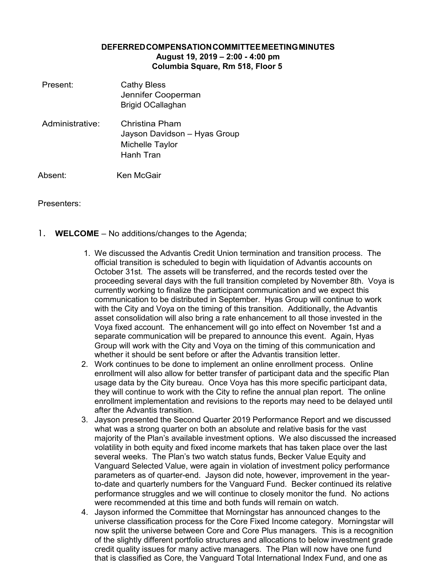## **DEFERREDCOMPENSATIONCOMMITTEEMEETINGMINUTES August 19, 2019 – 2:00 - 4:00 pm Columbia Square, Rm 518, Floor 5**

Present: Cathy Bless Jennifer Cooperman Brigid OCallaghan Administrative: Christina Pham Jayson Davidson – Hyas Group Michelle Taylor Hanh Tran Absent: Ken McGair

## Presenters:

- 1. **WELCOME**  No additions/changes to the Agenda;
	- 1. We discussed the Advantis Credit Union termination and transition process. The official transition is scheduled to begin with liquidation of Advantis accounts on October 31st. The assets will be transferred, and the records tested over the proceeding several days with the full transition completed by November 8th. Voya is currently working to finalize the participant communication and we expect this communication to be distributed in September. Hyas Group will continue to work with the City and Voya on the timing of this transition. Additionally, the Advantis asset consolidation will also bring a rate enhancement to all those invested in the Voya fixed account. The enhancement will go into effect on November 1st and a separate communication will be prepared to announce this event. Again, Hyas Group will work with the City and Voya on the timing of this communication and whether it should be sent before or after the Advantis transition letter.
	- 2. Work continues to be done to implement an online enrollment process. Online enrollment will also allow for better transfer of participant data and the specific Plan usage data by the City bureau. Once Voya has this more specific participant data, they will continue to work with the City to refine the annual plan report. The online enrollment implementation and revisions to the reports may need to be delayed until after the Advantis transition.
	- 3. Jayson presented the Second Quarter 2019 Performance Report and we discussed what was a strong quarter on both an absolute and relative basis for the vast majority of the Plan's available investment options. We also discussed the increased volatility in both equity and fixed income markets that has taken place over the last several weeks. The Plan's two watch status funds, Becker Value Equity and Vanguard Selected Value, were again in violation of investment policy performance parameters as of quarter-end. Jayson did note, however, improvement in the yearto-date and quarterly numbers for the Vanguard Fund. Becker continued its relative performance struggles and we will continue to closely monitor the fund. No actions were recommended at this time and both funds will remain on watch.
	- 4. Jayson informed the Committee that Morningstar has announced changes to the universe classification process for the Core Fixed Income category. Morningstar will now split the universe between Core and Core Plus managers. This is a recognition of the slightly different portfolio structures and allocations to below investment grade credit quality issues for many active managers. The Plan will now have one fund that is classified as Core, the Vanguard Total International Index Fund, and one as